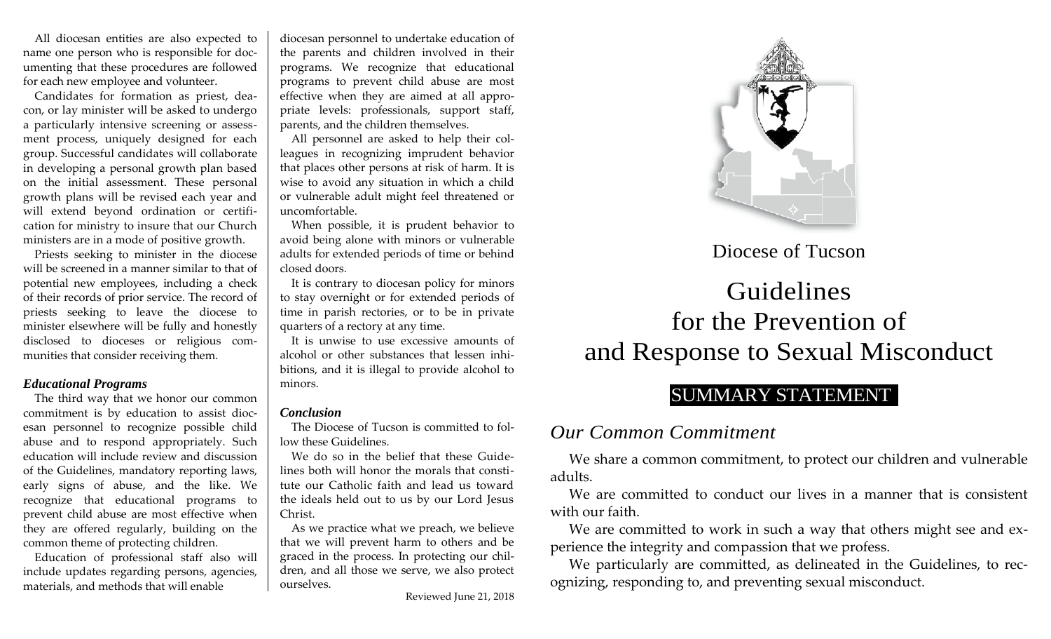All diocesan entities are also expected to name one person who is responsible for documenting that these procedures are followed for each new employee and volunteer.

Candidates for formation as priest, deacon, or lay minister will be asked to undergo a particularly intensive screening or assessment process, uniquely designed for each group. Successful candidates will collaborate in developing a personal growth plan based on the initial assessment. These personal growth plans will be revised each year and will extend beyond ordination or certification for ministry to insure that our Church ministers are in a mode of positive growth.

Priests seeking to minister in the diocese will be screened in a manner similar to that of potential new employees, including a check of their records of prior service. The record of priests seeking to leave the diocese to minister elsewhere will be fully and honestly disclosed to dioceses or religious communities that consider receiving them.

#### *Educational Programs*

The third way that we honor our common commitment is by education to assist diocesan personnel to recognize possible child abuse and to respond appropriately. Such education will include review and discussion of the Guidelines, mandatory reporting laws, early signs of abuse, and the like. We recognize that educational programs to prevent child abuse are most effective when they are offered regularly, building on the common theme of protecting children.

Education of professional staff also will include updates regarding persons, agencies, materials, and methods that will enable

diocesan personnel to undertake education of the parents and children involved in their programs. We recognize that educational programs to prevent child abuse are most effective when they are aimed at all appropriate levels: professionals, support staff, parents, and the children themselves.

All personnel are asked to help their colleagues in recognizing imprudent behavior that places other persons at risk of harm. It is wise to avoid any situation in which a child or vulnerable adult might feel threatened or uncomfortable.

When possible, it is prudent behavior to avoid being alone with minors or vulnerable adults for extended periods of time or behind closed doors.

It is contrary to diocesan policy for minors to stay overnight or for extended periods of time in parish rectories, or to be in private quarters of a rectory at any time.

It is unwise to use excessive amounts of alcohol or other substances that lessen inhibitions, and it is illegal to provide alcohol to minors.

#### *Conclusion*

The Diocese of Tucson is committed to follow these Guidelines.

We do so in the belief that these Guidelines both will honor the morals that constitute our Catholic faith and lead us toward the ideals held out to us by our Lord Jesus Christ.

As we practice what we preach, we believe that we will prevent harm to others and be graced in the process. In protecting our children, and all those we serve, we also protect ourselves.



## Diocese of Tucson

# Guidelines for the Prevention of and Response to Sexual Misconduct

## SUMMARY STATEMENT

### *Our Common Commitment*

We share a common commitment, to protect our children and vulnerable adults.

We are committed to conduct our lives in a manner that is consistent with our faith.

We are committed to work in such a way that others might see and experience the integrity and compassion that we profess.

We particularly are committed, as delineated in the Guidelines, to recognizing, responding to, and preventing sexual misconduct.